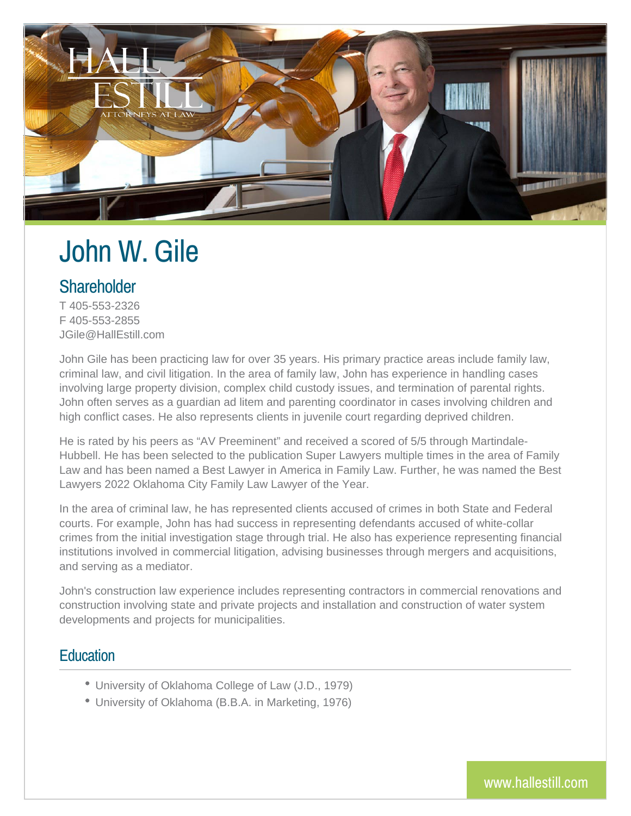

# John W. Gile

# **Shareholder**

T 405-553-2326 F 405-553-2855 JGile@HallEstill.com

John Gile has been practicing law for over 35 years. His primary practice areas include family law, criminal law, and civil litigation. In the area of family law, John has experience in handling cases involving large property division, complex child custody issues, and termination of parental rights. John often serves as a guardian ad litem and parenting coordinator in cases involving children and high conflict cases. He also represents clients in juvenile court regarding deprived children.

He is rated by his peers as "AV Preeminent" and received a scored of 5/5 through Martindale-Hubbell. He has been selected to the publication Super Lawyers multiple times in the area of Family Law and has been named a Best Lawyer in America in Family Law. Further, he was named the Best Lawyers 2022 Oklahoma City Family Law Lawyer of the Year.

In the area of criminal law, he has represented clients accused of crimes in both State and Federal courts. For example, John has had success in representing defendants accused of white-collar crimes from the initial investigation stage through trial. He also has experience representing financial institutions involved in commercial litigation, advising businesses through mergers and acquisitions, and serving as a mediator.

John's construction law experience includes representing contractors in commercial renovations and construction involving state and private projects and installation and construction of water system developments and projects for municipalities.

#### **Education**

- University of Oklahoma College of Law (J.D., 1979)
- University of Oklahoma (B.B.A. in Marketing, 1976)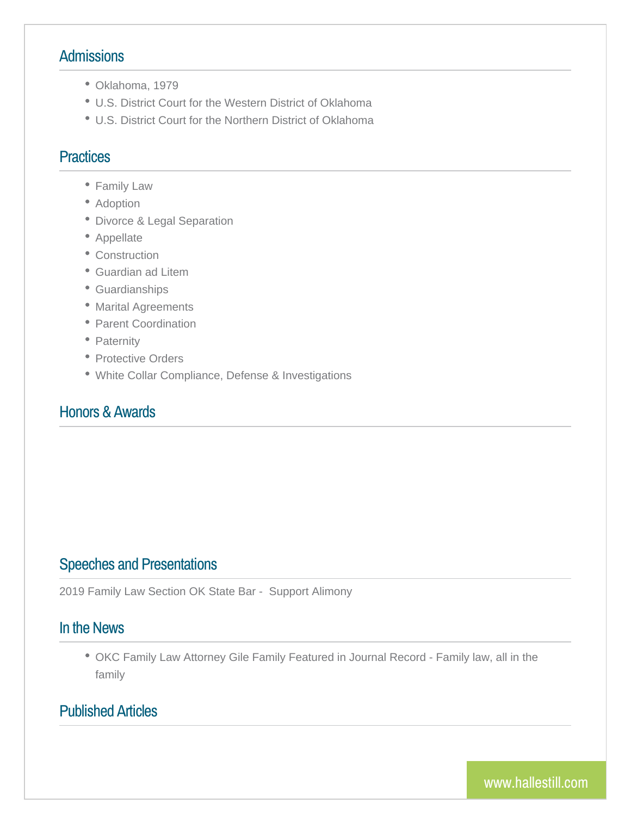# Admissions

- Oklahoma, 1979
- U.S. District Court for the Western District of Oklahoma
- U.S. District Court for the Northern District of Oklahoma

### Practices

- Family Law
- Adoption
- Divorce & Legal Separation
- Appellate
- Construction
- Guardian ad Litem
- Guardianships
- Marital Agreements
- Parent Coordination
- Paternity
- Protective Orders
- White Collar Compliance, Defense & Investigations

#### Honors & Awards

# Speeches and Presentations

2019 Family Law Section OK State Bar - Support Alimony

#### In the News

• OKC Family Law Attorney Gile Family Featured in Journal Record family

# Published Articles